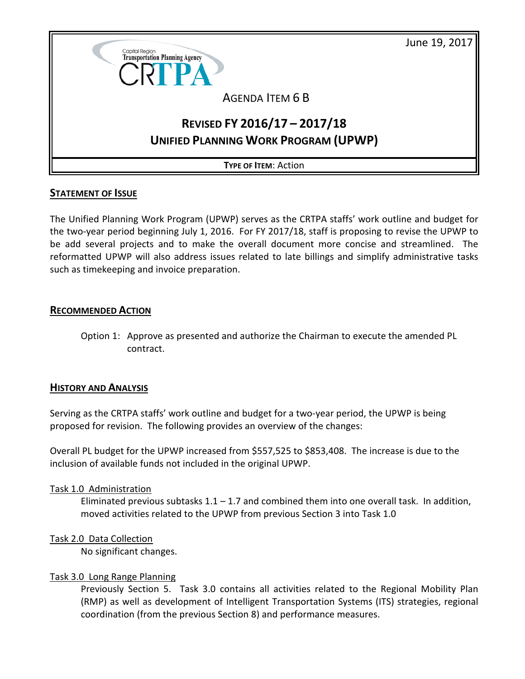June 19, 2017



# AGENDA ITEM 6 B

# **REVISED FY 2016/17 – 2017/18 UNIFIED PLANNING WORK PROGRAM (UPWP)**

**TYPE OF ITEM**: Action

# **STATEMENT OF ISSUE**

The Unified Planning Work Program (UPWP) serves as the CRTPA staffs' work outline and budget for the two-year period beginning July 1, 2016. For FY 2017/18, staff is proposing to revise the UPWP to be add several projects and to make the overall document more concise and streamlined. The reformatted UPWP will also address issues related to late billings and simplify administrative tasks such as timekeeping and invoice preparation.

# **RECOMMENDED ACTION**

Option 1: Approve as presented and authorize the Chairman to execute the amended PL contract.

# **HISTORY AND ANALYSIS**

Serving as the CRTPA staffs' work outline and budget for a two-year period, the UPWP is being proposed for revision. The following provides an overview of the changes:

Overall PL budget for the UPWP increased from \$557,525 to \$853,408. The increase is due to the inclusion of available funds not included in the original UPWP.

#### Task 1.0 Administration

Eliminated previous subtasks  $1.1 - 1.7$  and combined them into one overall task. In addition, moved activities related to the UPWP from previous Section 3 into Task 1.0

#### Task 2.0 Data Collection

No significant changes.

#### Task 3.0 Long Range Planning

Previously Section 5. Task 3.0 contains all activities related to the Regional Mobility Plan (RMP) as well as development of Intelligent Transportation Systems (ITS) strategies, regional coordination (from the previous Section 8) and performance measures.